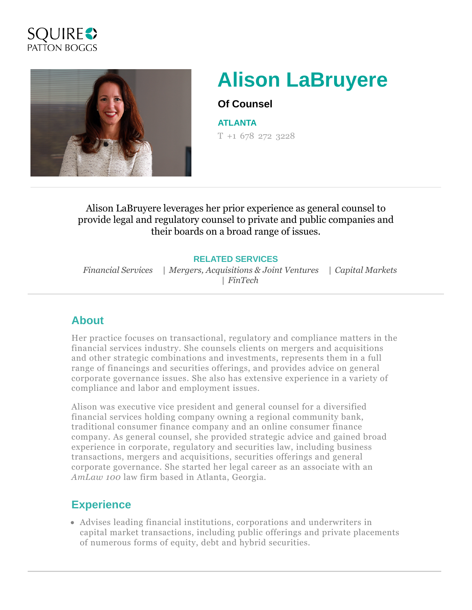



# **Alison LaBruyere**

#### **Of Counsel**

**ATLANTA**

T +1 678 272 3228

Alison LaBruyere leverages her prior experience as general counsel to provide legal and regulatory counsel to private and public companies and their boards on a broad range of issues.

#### **RELATED SERVICES**

*Financial Services | Mergers, Acquisitions & Joint Ventures | Capital Markets | FinTech*

## **About**

Her practice focuses on transactional, regulatory and compliance matters in the financial services industry. She counsels clients on mergers and acquisitions and other strategic combinations and investments, represents them in a full range of financings and securities offerings, and provides advice on general corporate governance issues. She also has extensive experience in a variety of compliance and labor and employment issues.

Alison was executive vice president and general counsel for a diversified financial services holding company owning a regional community bank, traditional consumer finance company and an online consumer finance company. As general counsel, she provided strategic advice and gained broad experience in corporate, regulatory and securities law, including business transactions, mergers and acquisitions, securities offerings and general corporate governance. She started her legal career as an associate with an *AmLaw 100* law firm based in Atlanta, Georgia.

## **Experience**

Advises leading financial institutions, corporations and underwriters in capital market transactions, including public offerings and private placements of numerous forms of equity, debt and hybrid securities.